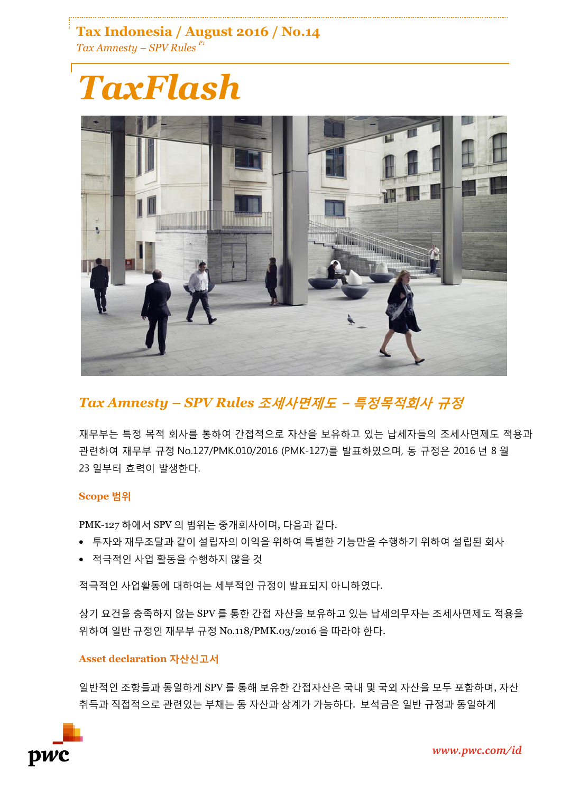**Tax Indonesia / August 2016 / No.14** *Tax Amnesty – SPV Rules P1*

# *TaxFlash*



## *Tax Amnesty – SPV Rules* **조세사면제도 – 특정목적회사 규정**

재무부는 특정 목적 회사를 통하여 간접적으로 자산을 보유하고 있는 납세자들의 조세사면제도 적용과 관련하여 재무부 규정 No.127/PMK.010/2016 (PMK-127)를 발표하였으며, 동 규정은 2016 년 8 월 23 일부터 효력이 발생한다.

### **Scope 범위**

PMK-127 하에서 SPV 의 범위는 중개회사이며, 다음과 같다.

- 투자와 재무조달과 같이 설립자의 이익을 위하여 특별한 기능만을 수행하기 위하여 설립된 회사
- 적극적인 사업 활동을 수행하지 않을 것

적극적인 사업활동에 대하여는 세부적인 규정이 발표되지 아니하였다.

상기 요건을 충족하지 않는 SPV 를 통한 간접 자산을 보유하고 있는 납세의무자는 조세사면제도 적용을 위하여 일반 규정인 재무부 규정 No.118/PMK.03/2016 을 따라야 한다.

### **Asset declaration 자산신고서**

일반적인 조항들과 동일하게 SPV 를 통해 보유한 간접자산은 국내 및 국외 자산을 모두 포함하며, 자산 취득과 직접적으로 관련있는 부채는 동 자산과 상계가 가능하다. 보석금은 일반 규정과 동일하게

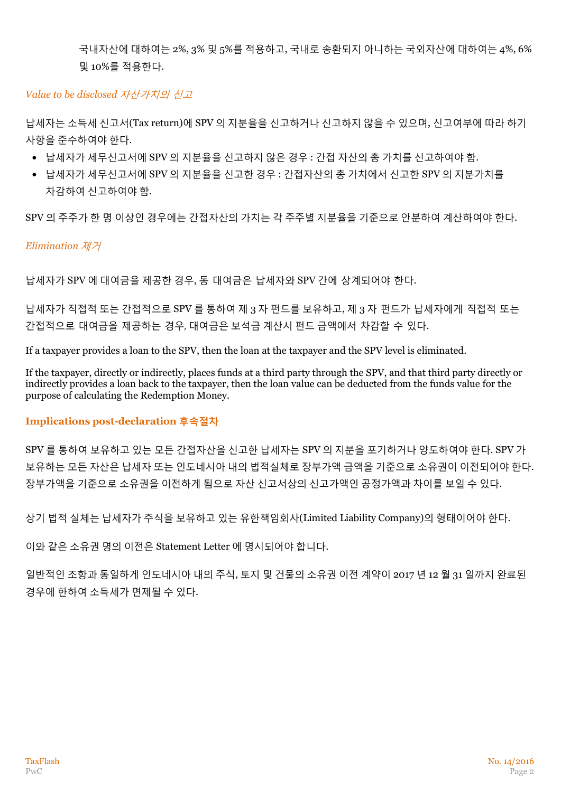국내자산에 대하여는 2%, 3% 및 5%를 적용하고, 국내로 송환되지 아니하는 국외자산에 대하여는 4%, 6% 및 10%를 적용한다.

#### *Value to be disclosed* 자산가치의 신고

납세자는 소득세 신고서(Tax return)에 SPV 의 지분율을 신고하거나 신고하지 않을 수 있으며, 신고여부에 따라 하기 사항을 준수하여야 한다.

- 납세자가 세무신고서에 SPV 의 지분율을 신고하지 않은 경우 : 간접 자산의 총 가치를 신고하여야 함.
- 납세자가 세무신고서에 SPV 의 지분율을 신고한 경우 : 간접자산의 총 가치에서 신고한 SPV 의 지분가치를 차감하여 신고하여야 함.

SPV 의 주주가 한 명 이상인 경우에는 간접자산의 가치는 각 주주별 지분율을 기준으로 안분하여 계산하여야 한다.

#### *Elimination* 제거

납세자가 SPV 에 대여금을 제공한 경우, 동 대여금은 납세자와 SPV 간에 상계되어야 한다.

납세자가 직접적 또는 간접적으로 SPV 를 통하여 제 3 자 펀드를 보유하고, 제 3 자 펀드가 납세자에게 직접적 또는 간접적으로 대여금을 제공하는 경우, 대여금은 보석금 계산시 펀드 금액에서 차감할 수 있다.

If a taxpayer provides a loan to the SPV, then the loan at the taxpayer and the SPV level is eliminated.

If the taxpayer, directly or indirectly, places funds at a third party through the SPV, and that third party directly or indirectly provides a loan back to the taxpayer, then the loan value can be deducted from the funds value for the purpose of calculating the Redemption Money.

#### **Implications post-declaration 후속절차**

SPV 를 통하여 보유하고 있는 모든 간접자산을 신고한 납세자는 SPV 의 지분을 포기하거나 양도하여야 한다. SPV 가 보유하는 모든 자산은 납세자 또는 인도네시아 내의 법적실체로 장부가액 금액을 기준으로 소유권이 이전되어야 한다. 장부가액을 기준으로 소유권을 이전하게 됨으로 자산 신고서상의 신고가액인 공정가액과 차이를 보일 수 있다.

상기 법적 실체는 납세자가 주식을 보유하고 있는 유한책임회사(Limited Liability Company)의 형태이어야 한다.

이와 같은 소유권 명의 이전은 Statement Letter 에 명시되어야 합니다.

일반적인 조항과 동일하게 인도네시아 내의 주식, 토지 및 건물의 소유권 이전 계약이 2017 년 12 월 31 일까지 완료된 경우에 한하여 소득세가 면제될 수 있다.